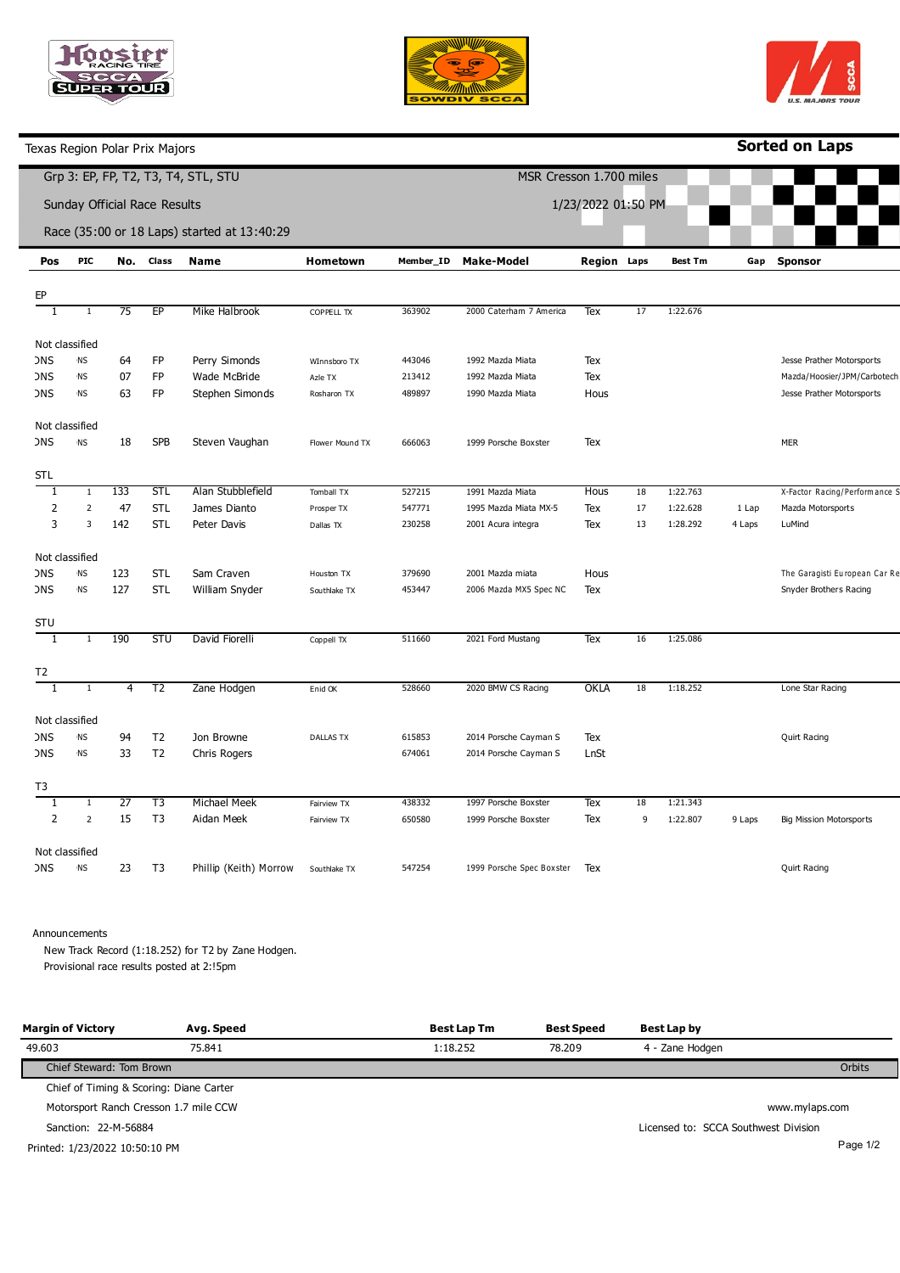





Texas Region Polar Prix Majors

**Sorted on Laps**

|                              |                |                 |                | Grp 3: EP, FP, T2, T3, T4, STL, STU         |                  | MSR Cresson 1.700 miles |                           |                    |    |                |        |                                |
|------------------------------|----------------|-----------------|----------------|---------------------------------------------|------------------|-------------------------|---------------------------|--------------------|----|----------------|--------|--------------------------------|
| Sunday Official Race Results |                |                 |                |                                             |                  | 1/23/2022 01:50 PM      |                           |                    |    |                |        |                                |
|                              |                |                 |                | Race (35:00 or 18 Laps) started at 13:40:29 |                  |                         |                           |                    |    |                |        |                                |
| Pos                          | <b>PIC</b>     | No.             | Class          | Name                                        | Hometown         | Member_ID               | <b>Make-Model</b>         | <b>Region Laps</b> |    | <b>Best Tm</b> | Gap    | <b>Sponsor</b>                 |
| EP                           |                |                 |                |                                             |                  |                         |                           |                    |    |                |        |                                |
| $\mathbf{1}$                 | 1              | 75              | EP             | Mike Halbrook                               | COPPELL TX       | 363902                  | 2000 Caterham 7 America   | Tex                | 17 | 1:22.676       |        |                                |
|                              | Not classified |                 |                |                                             |                  |                         |                           |                    |    |                |        |                                |
| ЭNS                          | <b>NS</b>      | 64              | FP             | Perry Simonds                               | WInnsboro TX     | 443046                  | 1992 Mazda Miata          | Tex                |    |                |        | Jesse Prather Motorsports      |
| <b>JNS</b>                   | <b>NS</b>      | 07              | FP             | Wade McBride                                | Azle TX          | 213412                  | 1992 Mazda Miata          | Tex                |    |                |        | Mazda/Hoosier/JPM/Carbotech    |
| <b>JNS</b>                   | <b>NS</b>      | 63              | FP             | Stephen Simonds                             | Rosharon TX      | 489897                  | 1990 Mazda Miata          | Hous               |    |                |        | Jesse Prather Motorsports      |
|                              | Not classified |                 |                |                                             |                  |                         |                           |                    |    |                |        |                                |
| <b>DNS</b>                   | <b>NS</b>      | 18              | <b>SPB</b>     | Steven Vaughan                              | Flower Mound TX  | 666063                  | 1999 Porsche Boxster      | Tex                |    |                |        | <b>MER</b>                     |
| STL                          |                |                 |                |                                             |                  |                         |                           |                    |    |                |        |                                |
| $\mathbf{1}$                 | $\mathbf{1}$   | 133             | <b>STL</b>     | Alan Stubblefield                           | Tomball TX       | 527215                  | 1991 Mazda Miata          | Hous               | 18 | 1:22.763       |        | X-Factor Racing/Performance S  |
| 2                            | $\overline{2}$ | 47              | <b>STL</b>     | James Dianto                                | Prosper TX       | 547771                  | 1995 Mazda Miata MX-5     | Tex                | 17 | 1:22.628       | 1 Lap  | Mazda Motorsports              |
| 3                            | 3              | 142             | <b>STL</b>     | Peter Davis                                 | Dallas TX        | 230258                  | 2001 Acura integra        | Tex                | 13 | 1:28.292       | 4 Laps | LuMind                         |
|                              | Not classified |                 |                |                                             |                  |                         |                           |                    |    |                |        |                                |
| <b>DNS</b>                   | <b>NS</b>      | 123             | <b>STL</b>     | Sam Craven                                  | Houston TX       | 379690                  | 2001 Mazda miata          | Hous               |    |                |        | The Garagisti European Car Re  |
| <b>DNS</b>                   | <b>NS</b>      | 127             | <b>STL</b>     | William Snyder                              | Southlake TX     | 453447                  | 2006 Mazda MX5 Spec NC    | Tex                |    |                |        | Snyder Brothers Racing         |
| STU                          |                |                 |                |                                             |                  |                         |                           |                    |    |                |        |                                |
| 1                            | $\mathbf{1}$   | 190             | <b>STU</b>     | David Fiorelli                              | Coppell TX       | 511660                  | 2021 Ford Mustang         | Tex                | 16 | 1:25.086       |        |                                |
| T2                           |                |                 |                |                                             |                  |                         |                           |                    |    |                |        |                                |
| 1                            | $\mathbf{1}$   | 4               | T <sub>2</sub> | Zane Hodgen                                 | Enid OK          | 528660                  | 2020 BMW CS Racing        | OKLA               | 18 | 1:18.252       |        | Lone Star Racing               |
|                              | Not classified |                 |                |                                             |                  |                         |                           |                    |    |                |        |                                |
| <b>DNS</b>                   | ΝS             | 94              | T <sub>2</sub> | Jon Browne                                  | <b>DALLAS TX</b> | 615853                  | 2014 Porsche Cayman S     | Tex                |    |                |        | Quirt Racing                   |
| <b>JNS</b>                   | <b>NS</b>      | 33              | T <sub>2</sub> | Chris Rogers                                |                  | 674061                  | 2014 Porsche Cayman S     | LnSt               |    |                |        |                                |
| T3                           |                |                 |                |                                             |                  |                         |                           |                    |    |                |        |                                |
| 1                            | $\mathbf{1}$   | $\overline{27}$ | T3             | Michael Meek                                | Fairview TX      | 438332                  | 1997 Porsche Boxster      | Tex                | 18 | 1:21.343       |        |                                |
| $\overline{2}$               | $\overline{2}$ | 15              | T <sub>3</sub> | Aidan Meek                                  | Fairview TX      | 650580                  | 1999 Porsche Boxster      | Tex                | 9  | 1:22.807       | 9 Laps | <b>Big Mission Motorsports</b> |
|                              | Not classified |                 |                |                                             |                  |                         |                           |                    |    |                |        |                                |
| <b>JNS</b>                   | <b>NS</b>      | 23              | T <sub>3</sub> | Phillip (Keith) Morrow                      | Southlake TX     | 547254                  | 1999 Porsche Spec Boxster | Tex                |    |                |        | Quirt Racing                   |

Announcements

New Track Record (1:18.252) for T2 by Zane Hodgen. Provisional race results posted at 2:!5pm

| <b>Margin of Victory</b>                | Avg. Speed | <b>Best Lap Tm</b> | <b>Best Speed</b> | Best Lap by                          |
|-----------------------------------------|------------|--------------------|-------------------|--------------------------------------|
| 49.603                                  | 75.841     | 1:18.252           | 78.209            | 4 - Zane Hodgen                      |
| Chief Steward: Tom Brown                |            |                    |                   | Orbits                               |
| Chief of Timing & Scoring: Diane Carter |            |                    |                   |                                      |
| Motorsport Ranch Cresson 1.7 mile CCW   |            |                    |                   | www.mylaps.com                       |
| Sanction: 22-M-56884                    |            |                    |                   | Licensed to: SCCA Southwest Division |
| Printed: 1/23/2022 10:50:10 PM          |            |                    |                   | Page 1/2                             |